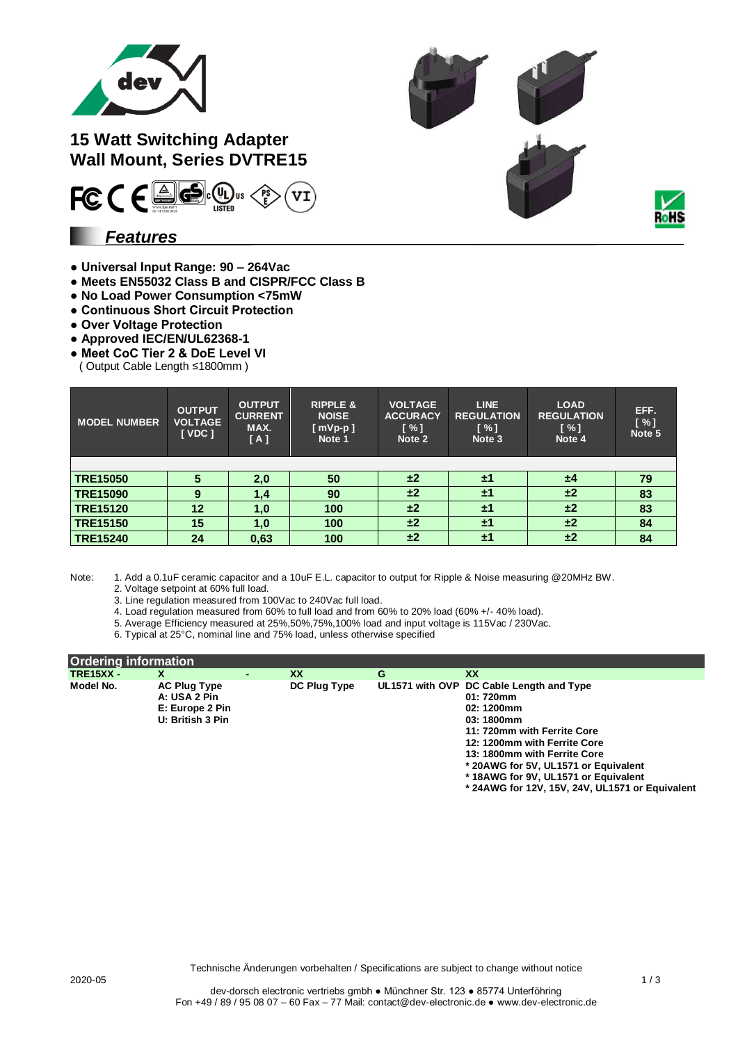



**15 Watt Switching Adapter Wall Mount, Series DVTRE15**



### *Features*

- **Universal Input Range: 90 – 264Vac**
- **Meets EN55032 Class B and CISPR/FCC Class B**
- **No Load Power Consumption <75mW**
- **Continuous Short Circuit Protection**
- **Over Voltage Protection**
- **Approved IEC/EN/UL62368-1**
- **Meet CoC Tier 2 & DoE Level VI**
- ( Output Cable Length ≤1800mm )

| <b>MODEL NUMBER</b> | <b>OUTPUT</b><br><b>VOLTAGE</b><br>[VDC] | <b>OUTPUT</b><br><b>CURRENT</b><br>MAX.<br>[A] | <b>RIPPLE &amp;</b><br><b>NOISE</b><br>$[ mVp-p ]$<br>Note 1 | <b>VOLTAGE</b><br><b>ACCURACY</b><br>$\sqrt{3}$<br>Note 2 | <b>LINE</b><br><b>REGULATION</b><br>$\sqrt{8}$<br>Note 3 | <b>LOAD</b><br><b>REGULATION</b><br>[ % ]<br>Note 4 | EFF.<br>$N \sim 1$<br>Note 5 |
|---------------------|------------------------------------------|------------------------------------------------|--------------------------------------------------------------|-----------------------------------------------------------|----------------------------------------------------------|-----------------------------------------------------|------------------------------|
|                     |                                          |                                                |                                                              |                                                           |                                                          |                                                     |                              |
| <b>TRE15050</b>     | 5                                        | 2,0                                            | 50                                                           | ±2                                                        | $\pm 1$                                                  | ±4                                                  | 79                           |
| <b>TRE15090</b>     | 9                                        | 1,4                                            | 90                                                           | ±2                                                        | ±1                                                       | ±2                                                  | 83                           |
| <b>TRE15120</b>     | 12                                       | 1,0                                            | 100                                                          | ±2                                                        | $\pm 1$                                                  | ±2                                                  | 83                           |
| <b>TRE15150</b>     | 15                                       | 1.0                                            | 100                                                          | ±2                                                        | ±1                                                       | ±2                                                  | 84                           |
| <b>TRE15240</b>     | 24                                       | 0,63                                           | 100                                                          | ±2                                                        | ±1                                                       | ±2                                                  | 84                           |

Note: 1. Add a 0.1uF ceramic capacitor and a 10uF E.L. capacitor to output for Ripple & Noise measuring @20MHz BW.

2. Voltage setpoint at 60% full load.

3. Line regulation measured from 100Vac to 240Vac full load.

4. Load regulation measured from 60% to full load and from 60% to 20% load (60% +/- 40% load).

5. Average Efficiency measured at 25%,50%,75%,100% load and input voltage is 115Vac / 230Vac.

6. Typical at 25°C, nominal line and 75% load, unless otherwise specified

| <b>Ordering information</b> |                     |  |              |   |                                          |
|-----------------------------|---------------------|--|--------------|---|------------------------------------------|
| <b>TRE15XX -</b>            | X                   |  | <b>XX</b>    | G | XX                                       |
| Model No.                   | <b>AC Plug Type</b> |  | DC Plug Type |   | UL1571 with OVP DC Cable Length and Type |
|                             | A: USA 2 Pin        |  |              |   | 01: 720mm                                |
|                             | E: Europe 2 Pin     |  |              |   | 02: 1200mm                               |
|                             | U: British 3 Pin    |  |              |   | 03: 1800mm                               |
|                             |                     |  |              |   | 11: 720mm with Ferrite Core              |
|                             |                     |  |              |   | 12: 1200mm with Ferrite Core             |
|                             |                     |  |              |   | 13: 1800mm with Ferrite Core             |
|                             |                     |  |              |   | * 20AWG for 5V, UL1571 or Equivalent     |
|                             |                     |  |              |   | *18AWG for 9V, UL1571 or Equivalent      |

**\* 24AWG for 12V, 15V, 24V, UL1571 or Equivalent**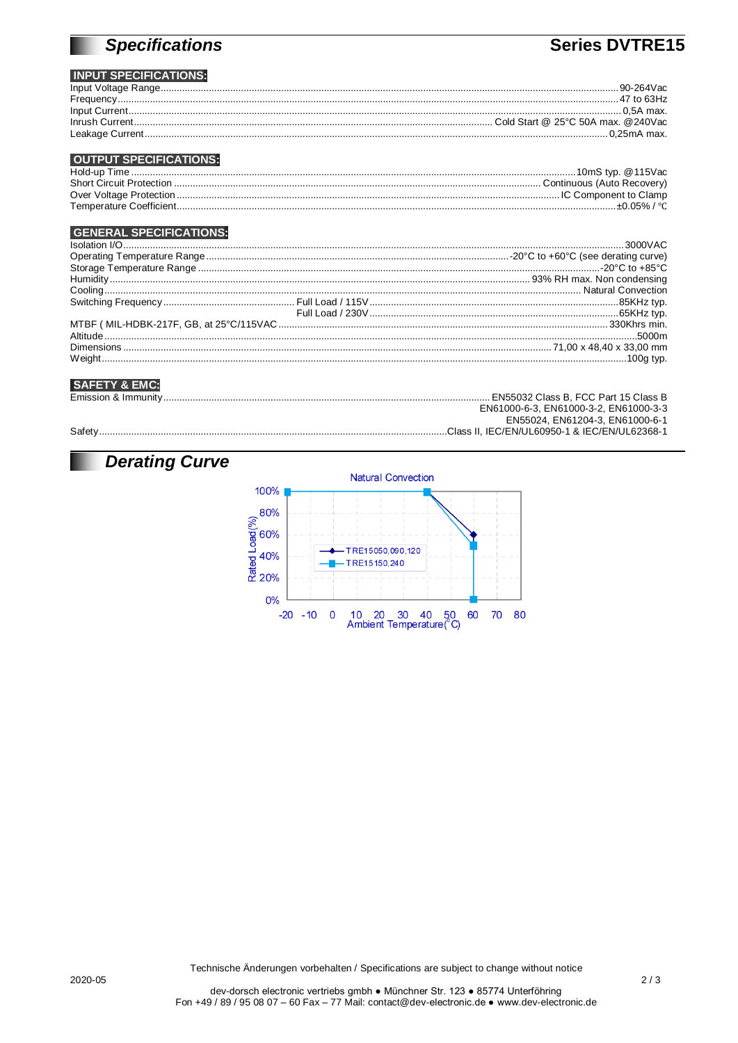# **Specifications**

## Series DVTRE15

#### **INPUT SPECIFICATIONS:**

|                                                                                                                                                                                                                                                                                                                                                                                                                        | $90 - 264$ Vac |
|------------------------------------------------------------------------------------------------------------------------------------------------------------------------------------------------------------------------------------------------------------------------------------------------------------------------------------------------------------------------------------------------------------------------|----------------|
| $\begin{minipage}{0.9\linewidth} \textbf{Frequency} \textit{}{\textit{}} \textit{}{\textit{}} \textit{}{\textit{}} \textit{}{\textit{}} \textit{}{\textit{}} \textit{}{\textit{}} \textit{}{\textit{}} \textit{}{\textit{}} \textit{}{\textit{}} \textit{}{\textit{}} \textit{}{\textit{}} \textit{}{\textit{}} \textit{}{\textit{}} \textit{}{\textit{}} \textit{}} \textit{}{\textit{}} \textit{} \textit{}{\textit$ | . 47 to 63Hz   |
|                                                                                                                                                                                                                                                                                                                                                                                                                        |                |
|                                                                                                                                                                                                                                                                                                                                                                                                                        |                |
|                                                                                                                                                                                                                                                                                                                                                                                                                        |                |

#### **OUTPUT SPECIFICATIONS:**

| Hold-up Time                    |              |
|---------------------------------|--------------|
| <b>Short Circuit Protection</b> |              |
|                                 |              |
|                                 | .+0.05% / °C |
|                                 |              |

#### **GENERAL SPECIFICATIONS:**

#### **SAFETY & EMC:**

|         | EN55032 Class B. FCC Part 15 Class B  |
|---------|---------------------------------------|
|         | EN61000-6-3. EN61000-3-2. EN61000-3-3 |
|         | EN55024, EN61204-3, EN61000-6-1       |
| Safety. |                                       |

# **Derating Curve**